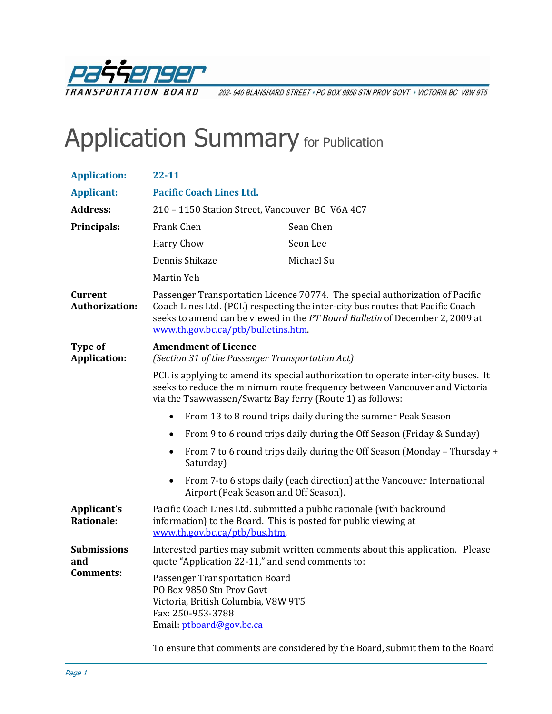

202-940 BLANSHARD STREET · PO BOX 9850 STN PROV GOVT · VICTORIA BC V8W 9T5

## Application Summary for Publication

| <b>Application:</b>                     | $22 - 11$                                                                                                                                                                                                                                                                                                                                                                                     |            |  |
|-----------------------------------------|-----------------------------------------------------------------------------------------------------------------------------------------------------------------------------------------------------------------------------------------------------------------------------------------------------------------------------------------------------------------------------------------------|------------|--|
| <b>Applicant:</b>                       | <b>Pacific Coach Lines Ltd.</b>                                                                                                                                                                                                                                                                                                                                                               |            |  |
| <b>Address:</b>                         | 210 - 1150 Station Street, Vancouver BC V6A 4C7                                                                                                                                                                                                                                                                                                                                               |            |  |
| Principals:                             | Frank Chen                                                                                                                                                                                                                                                                                                                                                                                    | Sean Chen  |  |
|                                         | <b>Harry Chow</b>                                                                                                                                                                                                                                                                                                                                                                             | Seon Lee   |  |
|                                         | Dennis Shikaze                                                                                                                                                                                                                                                                                                                                                                                | Michael Su |  |
|                                         | Martin Yeh                                                                                                                                                                                                                                                                                                                                                                                    |            |  |
| <b>Current</b><br><b>Authorization:</b> | Passenger Transportation Licence 70774. The special authorization of Pacific<br>Coach Lines Ltd. (PCL) respecting the inter-city bus routes that Pacific Coach<br>seeks to amend can be viewed in the PT Board Bulletin of December 2, 2009 at<br>www.th.gov.bc.ca/ptb/bulletins.htm.                                                                                                         |            |  |
| Type of<br><b>Application:</b>          | <b>Amendment of Licence</b><br>(Section 31 of the Passenger Transportation Act)<br>PCL is applying to amend its special authorization to operate inter-city buses. It<br>seeks to reduce the minimum route frequency between Vancouver and Victoria<br>via the Tsawwassen/Swartz Bay ferry (Route 1) as follows:<br>From 13 to 8 round trips daily during the summer Peak Season<br>$\bullet$ |            |  |
|                                         |                                                                                                                                                                                                                                                                                                                                                                                               |            |  |
|                                         |                                                                                                                                                                                                                                                                                                                                                                                               |            |  |
|                                         | From 9 to 6 round trips daily during the Off Season (Friday & Sunday)<br>$\bullet$<br>From 7 to 6 round trips daily during the Off Season (Monday - Thursday +<br>Saturday)                                                                                                                                                                                                                   |            |  |
|                                         |                                                                                                                                                                                                                                                                                                                                                                                               |            |  |
|                                         | From 7-to 6 stops daily (each direction) at the Vancouver International<br>Airport (Peak Season and Off Season).                                                                                                                                                                                                                                                                              |            |  |
| Applicant's<br><b>Rationale:</b>        | Pacific Coach Lines Ltd. submitted a public rationale (with backround<br>information) to the Board. This is posted for public viewing at<br>www.th.gov.bc.ca/ptb/bus.htm.                                                                                                                                                                                                                     |            |  |
| <b>Submissions</b><br>and               | Interested parties may submit written comments about this application. Please<br>quote "Application 22-11," and send comments to:                                                                                                                                                                                                                                                             |            |  |
| <b>Comments:</b>                        | Passenger Transportation Board<br>PO Box 9850 Stn Prov Govt<br>Victoria, British Columbia, V8W 9T5<br>Fax: 250-953-3788<br>Email: ptboard@gov.bc.ca                                                                                                                                                                                                                                           |            |  |
|                                         | To ensure that comments are considered by the Board, submit them to the Board                                                                                                                                                                                                                                                                                                                 |            |  |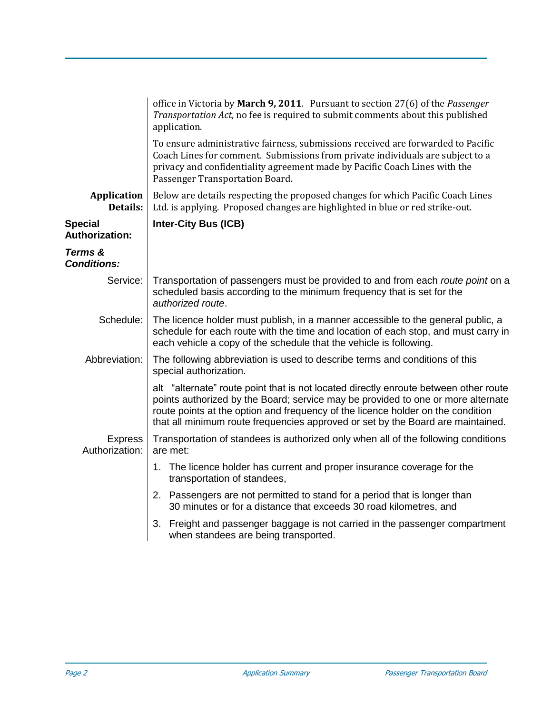|                                         | office in Victoria by March 9, 2011. Pursuant to section 27(6) of the <i>Passenger</i><br>Transportation Act, no fee is required to submit comments about this published<br>application.                                                                                                                                                       |
|-----------------------------------------|------------------------------------------------------------------------------------------------------------------------------------------------------------------------------------------------------------------------------------------------------------------------------------------------------------------------------------------------|
|                                         | To ensure administrative fairness, submissions received are forwarded to Pacific<br>Coach Lines for comment. Submissions from private individuals are subject to a<br>privacy and confidentiality agreement made by Pacific Coach Lines with the<br>Passenger Transportation Board.                                                            |
| <b>Application</b><br>Details:          | Below are details respecting the proposed changes for which Pacific Coach Lines<br>Ltd. is applying. Proposed changes are highlighted in blue or red strike-out.                                                                                                                                                                               |
| <b>Special</b><br><b>Authorization:</b> | <b>Inter-City Bus (ICB)</b>                                                                                                                                                                                                                                                                                                                    |
| Terms &<br><b>Conditions:</b>           |                                                                                                                                                                                                                                                                                                                                                |
| Service:                                | Transportation of passengers must be provided to and from each route point on a<br>scheduled basis according to the minimum frequency that is set for the<br>authorized route.                                                                                                                                                                 |
| Schedule:                               | The licence holder must publish, in a manner accessible to the general public, a<br>schedule for each route with the time and location of each stop, and must carry in<br>each vehicle a copy of the schedule that the vehicle is following.                                                                                                   |
| Abbreviation:                           | The following abbreviation is used to describe terms and conditions of this<br>special authorization.                                                                                                                                                                                                                                          |
|                                         | alt "alternate" route point that is not located directly enroute between other route<br>points authorized by the Board; service may be provided to one or more alternate<br>route points at the option and frequency of the licence holder on the condition<br>that all minimum route frequencies approved or set by the Board are maintained. |
| <b>Express</b><br>Authorization:        | Transportation of standees is authorized only when all of the following conditions<br>are met:                                                                                                                                                                                                                                                 |
|                                         | 1. The licence holder has current and proper insurance coverage for the<br>transportation of standees,                                                                                                                                                                                                                                         |
|                                         | 2. Passengers are not permitted to stand for a period that is longer than<br>30 minutes or for a distance that exceeds 30 road kilometres, and                                                                                                                                                                                                 |
|                                         | 3. Freight and passenger baggage is not carried in the passenger compartment<br>when standees are being transported.                                                                                                                                                                                                                           |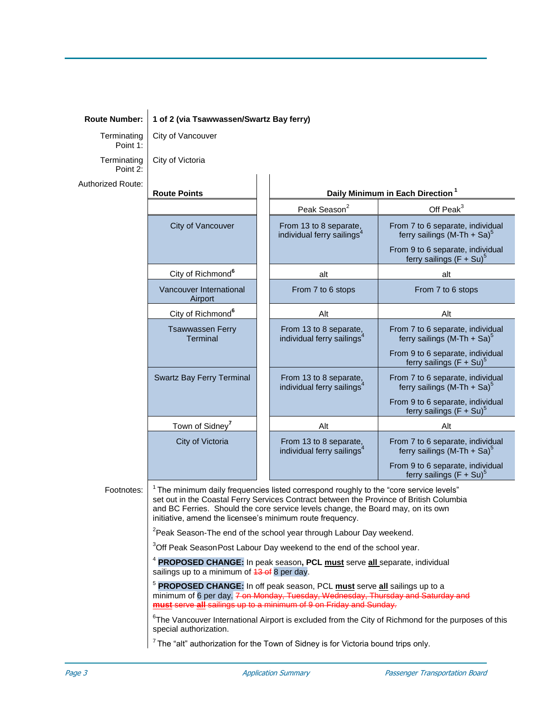**Route Number: 1 of 2 (via Tsawwassen/Swartz Bay ferry)**

 $1 - 1$ 

**Terminating** Point 1: Terminating Point 2:

Footnotes:

City of Vancouver City of Victoria

Authorized Route:

| <b>Route Points</b>                                                                                                                                                                                                                                                                                                                           | Daily Minimum in Each Direction <sup>1</sup>                     |                                                                             |  |  |
|-----------------------------------------------------------------------------------------------------------------------------------------------------------------------------------------------------------------------------------------------------------------------------------------------------------------------------------------------|------------------------------------------------------------------|-----------------------------------------------------------------------------|--|--|
|                                                                                                                                                                                                                                                                                                                                               | Peak Season <sup>2</sup>                                         | Off Peak <sup>3</sup>                                                       |  |  |
| City of Vancouver                                                                                                                                                                                                                                                                                                                             | From 13 to 8 separate,<br>individual ferry sailings <sup>4</sup> | From 7 to 6 separate, individual<br>ferry sailings $(M-Th + Sa)^5$          |  |  |
|                                                                                                                                                                                                                                                                                                                                               |                                                                  | From 9 to 6 separate, individual<br>ferry sailings $(F + Su)^5$             |  |  |
| City of Richmond <sup>6</sup>                                                                                                                                                                                                                                                                                                                 | alt                                                              | alt                                                                         |  |  |
| Vancouver International<br>Airport                                                                                                                                                                                                                                                                                                            | From 7 to 6 stops                                                | From 7 to 6 stops                                                           |  |  |
| City of Richmond <sup>6</sup>                                                                                                                                                                                                                                                                                                                 | Alt                                                              | Alt                                                                         |  |  |
| <b>Tsawwassen Ferry</b><br><b>Terminal</b>                                                                                                                                                                                                                                                                                                    | From 13 to 8 separate,<br>individual ferry sailings <sup>4</sup> | From 7 to 6 separate, individual<br>ferry sailings (M-Th + Sa) <sup>5</sup> |  |  |
|                                                                                                                                                                                                                                                                                                                                               |                                                                  | From 9 to 6 separate, individual<br>ferry sailings $(F + Su)^5$             |  |  |
| <b>Swartz Bay Ferry Terminal</b>                                                                                                                                                                                                                                                                                                              | From 13 to 8 separate,<br>individual ferry sailings <sup>4</sup> | From 7 to 6 separate, individual<br>ferry sailings $(M-Th + Sa)^5$          |  |  |
|                                                                                                                                                                                                                                                                                                                                               |                                                                  | From 9 to 6 separate, individual<br>ferry sailings $(F + Su)^5$             |  |  |
| Town of Sidney <sup>7</sup>                                                                                                                                                                                                                                                                                                                   | Alt                                                              | Alt                                                                         |  |  |
| City of Victoria                                                                                                                                                                                                                                                                                                                              | From 13 to 8 separate,<br>individual ferry sailings <sup>4</sup> | From 7 to 6 separate, individual<br>ferry sailings $(M-Th + Sa)^5$          |  |  |
|                                                                                                                                                                                                                                                                                                                                               |                                                                  | From 9 to 6 separate, individual<br>ferry sailings $(F + Su)^5$             |  |  |
| <sup>1</sup> The minimum daily frequencies listed correspond roughly to the "core service levels"<br>set out in the Coastal Ferry Services Contract between the Province of British Columbia<br>and BC Ferries. Should the core service levels change, the Board may, on its own<br>initiative, amend the licensee's minimum route frequency. |                                                                  |                                                                             |  |  |

 $2$ Peak Season-The end of the school year through Labour Day weekend.

 $3$ Off Peak SeasonPost Labour Day weekend to the end of the school year.

4 **PROPOSED CHANGE:** In peak season**, PCL must** serve **all** separate, individual sailings up to a minimum of 13 of 8 per day.

5 **PROPOSED CHANGE:** In off peak season, PCL **must** serve **all** sailings up to a minimum of 6 per day. 7 on Monday, Tuesday, Wednesday, Thursday and Saturday and **must** serve **all** sailings up to a minimum of 9 on Friday and Sunday.

 ${}^{6}$ The Vancouver International Airport is excluded from the City of Richmond for the purposes of this special authorization.

 $\mathrm{^{7}}$ The "alt" authorization for the Town of Sidney is for Victoria bound trips only.